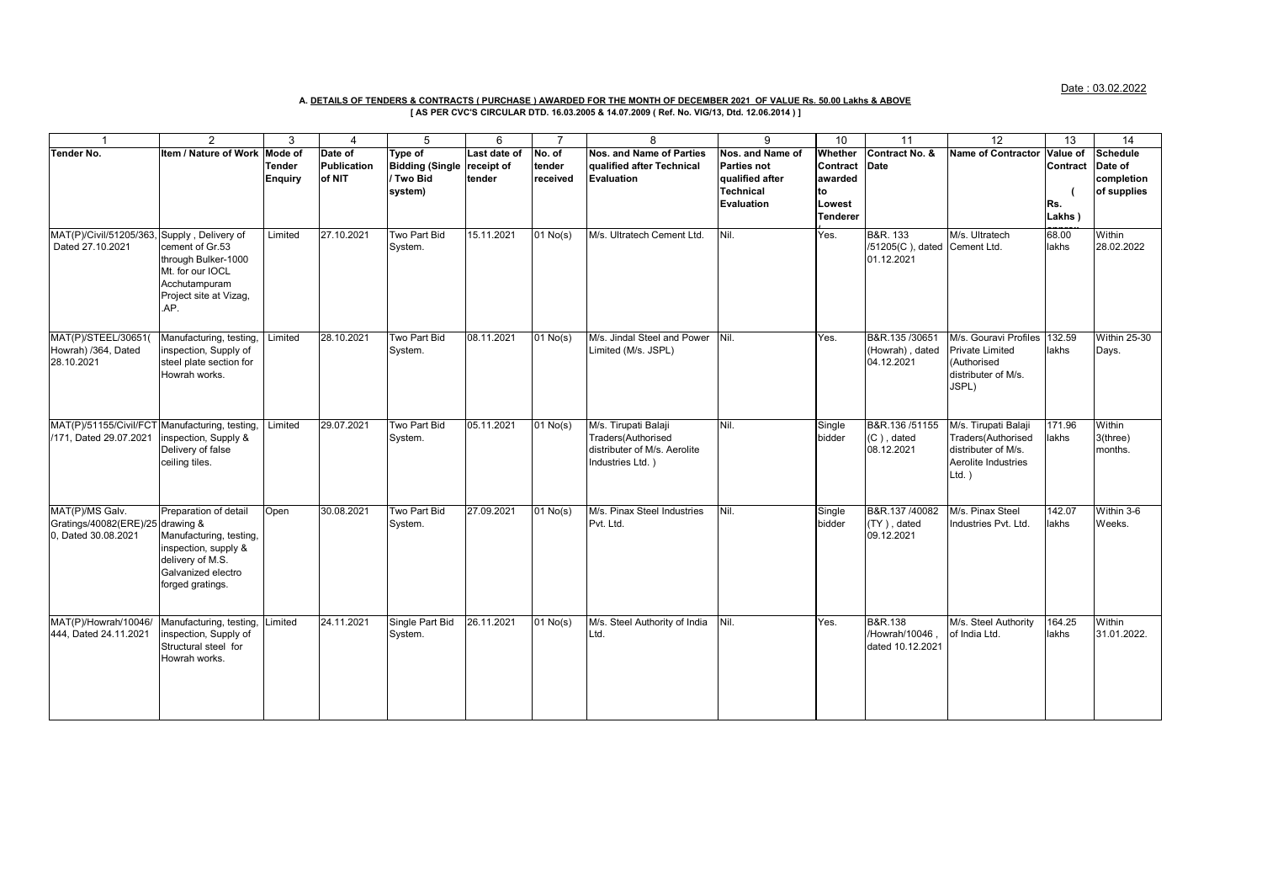Date : 03.02.2022

## **A. DETAILS OF TENDERS & CONTRACTS ( PURCHASE ) AWARDED FOR THE MONTH OF DECEMBER 2021 OF VALUE Rs. 50.00 Lakhs & ABOVE**

**[ AS PER CVC'S CIRCULAR DTD. 16.03.2005 & 14.07.2009 ( Ref. No. VIG/13, Dtd. 12.06.2014 ) ]**

|                                                                            | 2                                                                                                                                      | 3                                          | $\overline{4}$                          | 5                                                         | 6                                    | $\overline{7}$               | 8                                                                                              | 9                                                                                           | 10                                                                     | 11                                                     | $\overline{12}$                                                                                       | 13                                    | 14                                                      |
|----------------------------------------------------------------------------|----------------------------------------------------------------------------------------------------------------------------------------|--------------------------------------------|-----------------------------------------|-----------------------------------------------------------|--------------------------------------|------------------------------|------------------------------------------------------------------------------------------------|---------------------------------------------------------------------------------------------|------------------------------------------------------------------------|--------------------------------------------------------|-------------------------------------------------------------------------------------------------------|---------------------------------------|---------------------------------------------------------|
| <b>Tender No.</b>                                                          | <b>Item / Nature of Work</b>                                                                                                           | Mode of<br><b>Tender</b><br><b>Enquiry</b> | Date of<br><b>Publication</b><br>of NIT | Type of<br><b>Bidding (Single</b><br>/ Two Bid<br>system) | Last date of<br>receipt of<br>tender | No. of<br>tender<br>received | Nos. and Name of Parties<br>qualified after Technical<br>Evaluation                            | Nos. and Name of<br><b>Parties not</b><br>qualified after<br><b>Technical</b><br>Evaluation | Whether<br>Contract Date<br>awarded<br>to<br>Lowest<br><b>Tenderer</b> | Contract No. &                                         | <b>Name of Contractor</b>                                                                             | Value of<br>Contract<br>Rs.<br>Lakhs) | <b>Schedule</b><br>Date of<br>completion<br>of supplies |
| MAT(P)/Civil/51205/363, Supply, Delivery of<br>Dated 27.10.2021            | cement of Gr.53<br>through Bulker-1000<br>Mt. for our IOCL<br>Acchutampuram<br>Project site at Vizag,<br>.AP.                          | Limited                                    | 27.10.2021                              | Two Part Bid<br>System.                                   | 15.11.2021                           | $01$ No(s)                   | M/s. Ultratech Cement Ltd.                                                                     | Nil.                                                                                        | Yes.                                                                   | B&R. 133<br>/51205(C), dated Cement Ltd.<br>01.12.2021 | M/s. Ultratech                                                                                        | 68.00<br>lakhs                        | Within<br>28.02.2022                                    |
| MAT(P)/STEEL/30651(<br>Howrah) /364, Dated<br>28.10.2021                   | Manufacturing, testing.<br>inspection, Supply of<br>steel plate section for<br>Howrah works.                                           | Limited                                    | 28.10.2021                              | Two Part Bid<br>System.                                   | 08.11.2021                           | $01$ No(s)                   | M/s. Jindal Steel and Power<br>Limited (M/s. JSPL)                                             | Nil.                                                                                        | Yes.                                                                   | B&R.135 /30651<br>(Howrah), dated<br>04.12.2021        | M/s. Gouravi Profiles 132.59<br><b>Private Limited</b><br>(Authorised<br>distributer of M/s.<br>JSPL) | lakhs                                 | <b>Within 25-30</b><br>Days.                            |
| MAT(P)/51155/Civil/FCT Manufacturing, testing.<br>/171, Dated 29.07.2021   | inspection, Supply &<br>Delivery of false<br>ceiling tiles.                                                                            | Limited                                    | 29.07.2021                              | Two Part Bid<br>System.                                   | 05.11.2021                           | $01$ No(s)                   | M/s. Tirupati Balaji<br>Traders(Authorised<br>distributer of M/s. Aerolite<br>Industries Ltd.) | Nil.                                                                                        | Single<br>bidder                                                       | B&R.136 /51155<br>(C), dated<br>08.12.2021             | M/s. Tirupati Balaji<br>Traders(Authorised<br>distributer of M/s.<br>Aerolite Industries<br>$Ltd.$ )  | 171.96<br>lakhs                       | Within<br>3(three)<br>months.                           |
| MAT(P)/MS Galv.<br>Gratings/40082(ERE)/25 drawing &<br>0. Dated 30.08.2021 | Preparation of detail<br>Manufacturing, testing,<br>inspection, supply &<br>delivery of M.S.<br>Galvanized electro<br>forged gratings. | Open                                       | 30.08.2021                              | Two Part Bid<br>System.                                   | 27.09.2021                           | $01$ No(s)                   | M/s. Pinax Steel Industries<br>Pvt. Ltd.                                                       | Nil.                                                                                        | Single<br>bidder                                                       | B&R.137/40082<br>(TY), dated<br>09.12.2021             | M/s. Pinax Steel<br>Industries Pvt. Ltd.                                                              | 142.07<br>lakhs                       | Within 3-6<br>Weeks.                                    |
| MAT(P)/Howrah/10046/<br>444, Dated 24.11.2021                              | Manufacturing, testing,<br>inspection, Supply of<br>Structural steel for<br>Howrah works.                                              | Limited                                    | 24.11.2021                              | Single Part Bid<br>System.                                | 26.11.2021                           | $\overline{01}$ No(s)        | M/s. Steel Authority of India<br>Ltd.                                                          | Nil.                                                                                        | Yes.                                                                   | B&R.138<br>/Howrah/10046<br>dated 10.12.2021           | M/s. Steel Authority<br>of India Ltd.                                                                 | 164.25<br>lakhs                       | Within<br>31.01.2022.                                   |